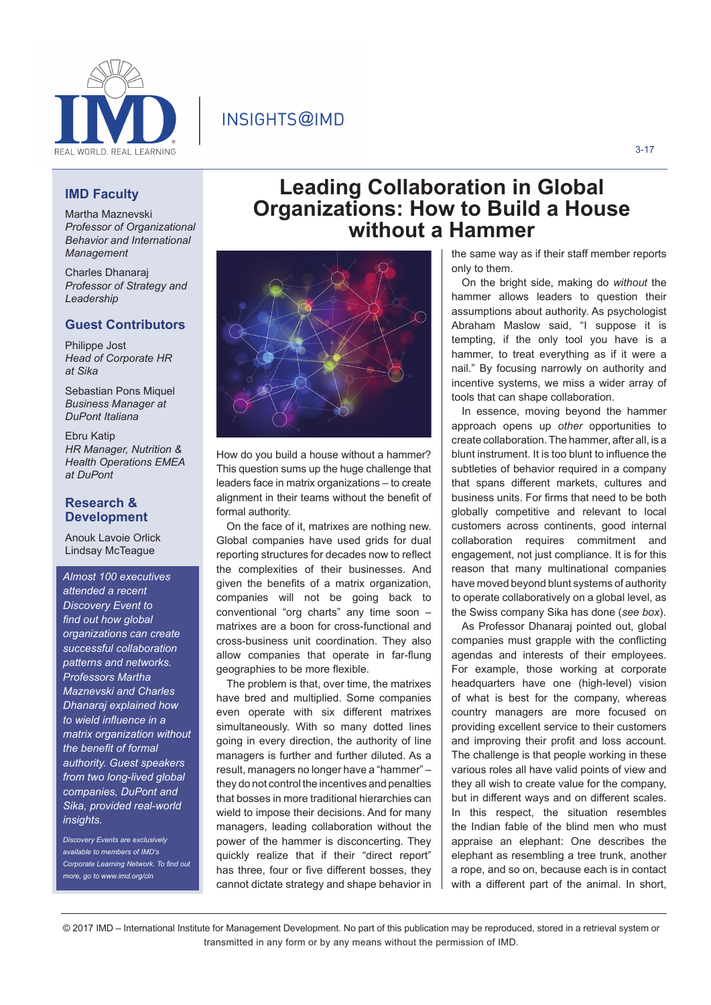

## INSIGHTS@IMD

### **IMD Faculty**

Martha Maznevski *Professor of Organizational Behavior and International Management*

Charles Dhanaraj *Professor of Strategy and Leadership*

#### **Guest Contributors**

Philippe Jost *Head of Corporate HR at Sika*

Sebastian Pons Miquel *Business Manager at DuPont Italiana* 

Ebru Katip *HR Manager, Nutrition & Health Operations EMEA at DuPont* 

#### **Research & Development**

Anouk Lavoie Orlick Lindsay McTeague

*Almost 100 executives attended a recent Discovery Event to find out how global organizations can create successful collaboration patterns and networks. Professors Martha Maznevski and Charles Dhanaraj explained how to wield influence in a matrix organization without the benefit of formal authority. Guest speakers from two long-lived global companies, DuPont and Sika, provided real-world insights.*

*Discovery Events are exclusively available to members of IMD's Corporate Learning Network. To find out more, go to www.imd.org/cln*



How do you build a house without a hammer? This question sums up the huge challenge that leaders face in matrix organizations – to create alignment in their teams without the benefit of formal authority.

On the face of it, matrixes are nothing new. Global companies have used grids for dual reporting structures for decades now to reflect the complexities of their businesses. And given the benefits of a matrix organization. companies will not be going back to conventional "org charts" any time soon – matrixes are a boon for cross-functional and cross-business unit coordination. They also allow companies that operate in far-flung geographies to be more flexible.

The problem is that, over time, the matrixes have bred and multiplied. Some companies even operate with six different matrixes simultaneously. With so many dotted lines going in every direction, the authority of line managers is further and further diluted. As a result, managers no longer have a "hammer" – they do not control the incentives and penalties that bosses in more traditional hierarchies can wield to impose their decisions. And for many managers, leading collaboration without the power of the hammer is disconcerting. They quickly realize that if their "direct report" has three, four or five different bosses, they cannot dictate strategy and shape behavior in

# **Leading Collaboration in Global Organizations: How to Build a House without a Hammer**

the same way as if their staff member reports only to them.

On the bright side, making do *without* the hammer allows leaders to question their assumptions about authority. As psychologist Abraham Maslow said, "I suppose it is tempting, if the only tool you have is a hammer, to treat everything as if it were a nail." By focusing narrowly on authority and incentive systems, we miss a wider array of tools that can shape collaboration.

In essence, moving beyond the hammer approach opens up *other* opportunities to create collaboration. The hammer, after all, is a blunt instrument. It is too blunt to influence the subtleties of behavior required in a company that spans different markets, cultures and business units. For firms that need to be both globally competitive and relevant to local customers across continents, good internal collaboration requires commitment and engagement, not just compliance. It is for this reason that many multinational companies have moved beyond blunt systems of authority to operate collaboratively on a global level, as the Swiss company Sika has done (*see box*).

As Professor Dhanaraj pointed out, global companies must grapple with the conflicting agendas and interests of their employees. For example, those working at corporate headquarters have one (high-level) vision of what is best for the company, whereas country managers are more focused on providing excellent service to their customers and improving their profit and loss account. The challenge is that people working in these various roles all have valid points of view and they all wish to create value for the company, but in different ways and on different scales. In this respect, the situation resembles the Indian fable of the blind men who must appraise an elephant: One describes the elephant as resembling a tree trunk, another a rope, and so on, because each is in contact with a different part of the animal. In short,

© 2017 IMD – International Institute for Management Development. No part of this publication may be reproduced, stored in a retrieval system or transmitted in any form or by any means without the permission of IMD.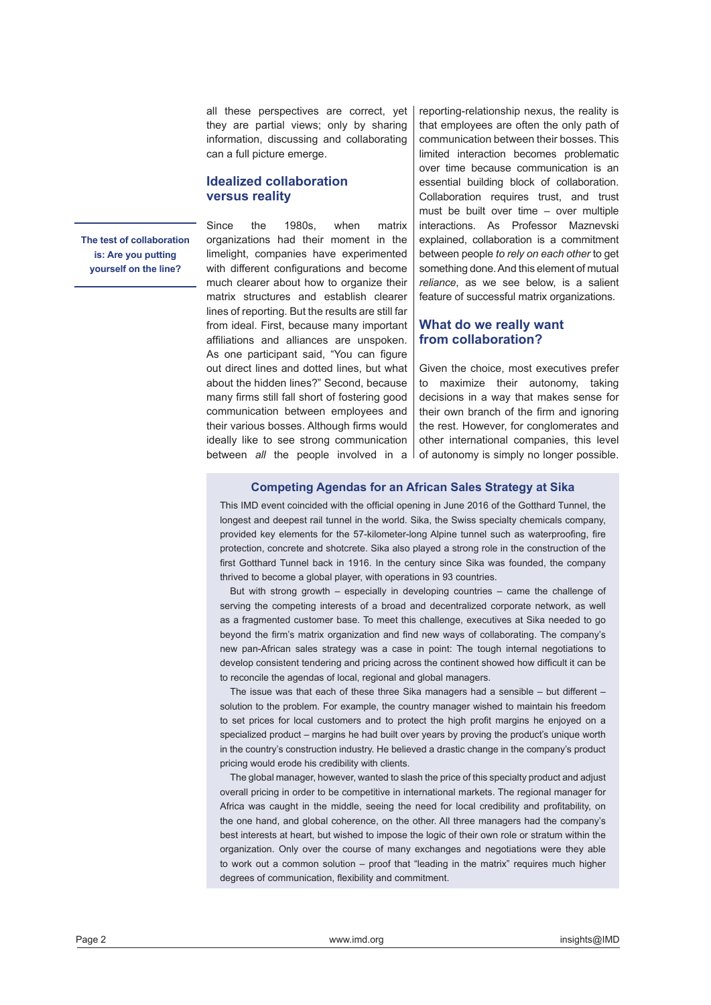all these perspectives are correct, yet they are partial views; only by sharing information, discussing and collaborating can a full picture emerge.

#### **Idealized collaboration versus reality**

**The test of collaboration is: Are you putting yourself on the line?**

Since the 1980s, when matrix organizations had their moment in the limelight, companies have experimented with different configurations and become much clearer about how to organize their matrix structures and establish clearer lines of reporting. But the results are still far from ideal. First, because many important affiliations and alliances are unspoken. As one participant said, "You can figure out direct lines and dotted lines, but what about the hidden lines?" Second, because many firms still fall short of fostering good communication between employees and their various bosses. Although firms would ideally like to see strong communication between *all* the people involved in a reporting-relationship nexus, the reality is that employees are often the only path of communication between their bosses. This limited interaction becomes problematic over time because communication is an essential building block of collaboration. Collaboration requires trust, and trust must be built over time – over multiple interactions. As Professor Maznevski explained, collaboration is a commitment between people *to rely on each other* to get something done. And this element of mutual *reliance*, as we see below, is a salient feature of successful matrix organizations.

#### **What do we really want from collaboration?**

Given the choice, most executives prefer to maximize their autonomy, taking decisions in a way that makes sense for their own branch of the firm and ignoring the rest. However, for conglomerates and other international companies, this level of autonomy is simply no longer possible.

#### **Competing Agendas for an African Sales Strategy at Sika**

This IMD event coincided with the official opening in June 2016 of the Gotthard Tunnel, the longest and deepest rail tunnel in the world. Sika, the Swiss specialty chemicals company, provided key elements for the 57-kilometer-long Alpine tunnel such as waterproofing, fire protection, concrete and shotcrete. Sika also played a strong role in the construction of the first Gotthard Tunnel back in 1916. In the century since Sika was founded, the company thrived to become a global player, with operations in 93 countries.

But with strong growth – especially in developing countries – came the challenge of serving the competing interests of a broad and decentralized corporate network, as well as a fragmented customer base. To meet this challenge, executives at Sika needed to go beyond the firm's matrix organization and find new ways of collaborating. The company's new pan-African sales strategy was a case in point: The tough internal negotiations to develop consistent tendering and pricing across the continent showed how difficult it can be to reconcile the agendas of local, regional and global managers.

The issue was that each of these three Sika managers had a sensible – but different – solution to the problem. For example, the country manager wished to maintain his freedom to set prices for local customers and to protect the high profit margins he enjoyed on a specialized product – margins he had built over years by proving the product's unique worth in the country's construction industry. He believed a drastic change in the company's product pricing would erode his credibility with clients.

The global manager, however, wanted to slash the price of this specialty product and adjust overall pricing in order to be competitive in international markets. The regional manager for Africa was caught in the middle, seeing the need for local credibility and profitability, on the one hand, and global coherence, on the other. All three managers had the company's best interests at heart, but wished to impose the logic of their own role or stratum within the organization. Only over the course of many exchanges and negotiations were they able to work out a common solution – proof that "leading in the matrix" requires much higher degrees of communication, flexibility and commitment.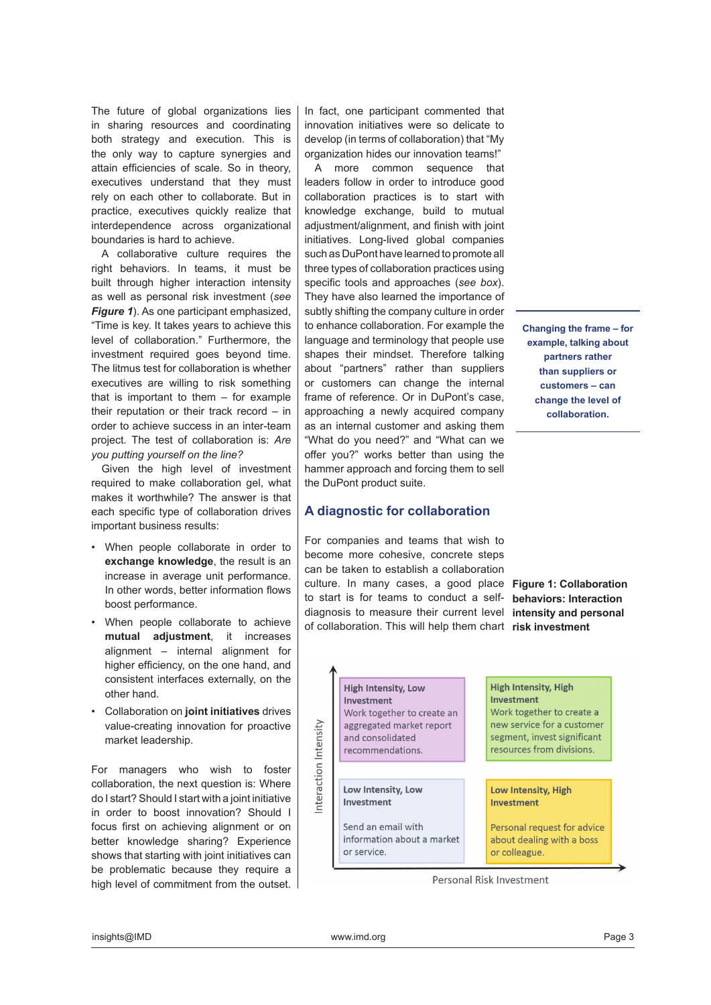The future of global organizations lies in sharing resources and coordinating both strategy and execution. This is the only way to capture synergies and attain efficiencies of scale. So in theory, executives understand that they must rely on each other to collaborate. But in practice, executives quickly realize that interdependence across organizational boundaries is hard to achieve.

A collaborative culture requires the right behaviors. In teams, it must be built through higher interaction intensity as well as personal risk investment (*see Figure 1*). As one participant emphasized, "Time is key. It takes years to achieve this level of collaboration." Furthermore, the investment required goes beyond time. The litmus test for collaboration is whether executives are willing to risk something that is important to them – for example their reputation or their track record – in order to achieve success in an inter-team project. The test of collaboration is: *Are you putting yourself on the line?*

Given the high level of investment required to make collaboration gel, what makes it worthwhile? The answer is that each specific type of collaboration drives important business results:

- When people collaborate in order to **exchange knowledge**, the result is an increase in average unit performance. In other words, better information flows boost performance.
- When people collaborate to achieve **mutual adjustment**, it increases alignment – internal alignment for higher efficiency, on the one hand, and consistent interfaces externally, on the other hand.
- Collaboration on **joint initiatives** drives value-creating innovation for proactive market leadership.

For managers who wish to foster collaboration, the next question is: Where do I start? Should I start with a joint initiative in order to boost innovation? Should I focus first on achieving alignment or on better knowledge sharing? Experience shows that starting with joint initiatives can be problematic because they require a high level of commitment from the outset. In fact, one participant commented that innovation initiatives were so delicate to develop (in terms of collaboration) that "My organization hides our innovation teams!"

A more common sequence that leaders follow in order to introduce good collaboration practices is to start with knowledge exchange, build to mutual adjustment/alignment, and finish with joint initiatives. Long-lived global companies such as DuPont have learned to promote all three types of collaboration practices using specific tools and approaches (*see box*). They have also learned the importance of subtly shifting the company culture in order to enhance collaboration. For example the language and terminology that people use shapes their mindset. Therefore talking about "partners" rather than suppliers or customers can change the internal frame of reference. Or in DuPont's case, approaching a newly acquired company as an internal customer and asking them "What do you need?" and "What can we offer you?" works better than using the hammer approach and forcing them to sell the DuPont product suite.

### **A diagnostic for collaboration**

For companies and teams that wish to become more cohesive, concrete steps can be taken to establish a collaboration culture. In many cases, a good place **Figure 1: Collaboration**  to start is for teams to conduct a selfdiagnosis to measure their current level of collaboration. This will help them chart **risk investment**

**High Intensity, Low** 

recommendations.

Work together to create an

aggregated market report and consolidated

Investment

nteraction Intensity

**Changing the frame – for example, talking about partners rather than suppliers or customers – can change the level of collaboration.**

**behaviors: Interaction intensity and personal** 

#### **High Intensity, High** Investment Work together to create a new service for a customer segment, invest significant

resources from divisions.

Low Intensity, Low Investment

Send an email with information about a market or service.

Low Intensity, High Investment

Personal request for advice about dealing with a boss or colleague.

Personal Risk Investment